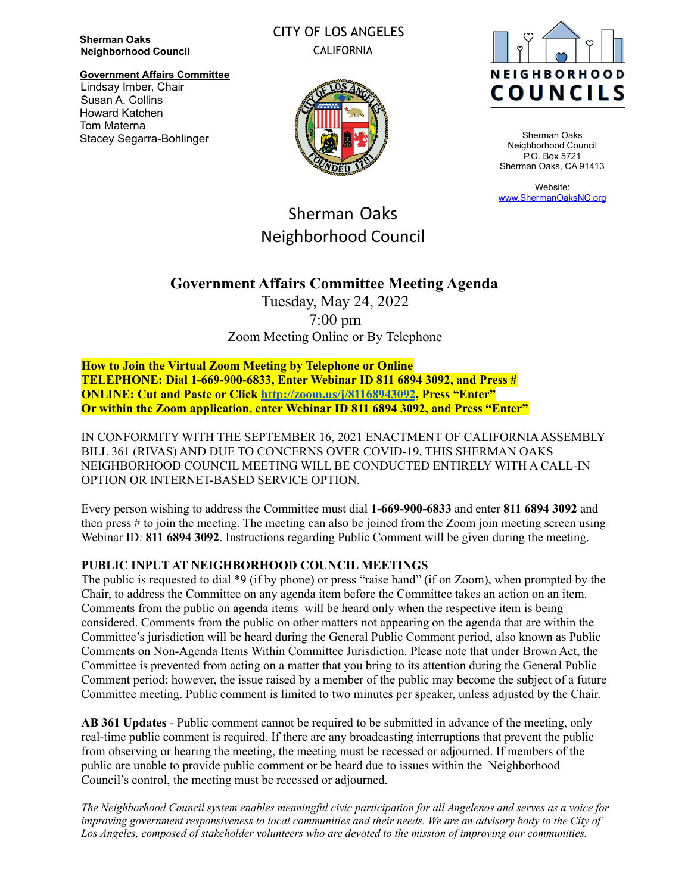**Sherman Oaks Neighborhood Council**

**Government Affairs Committee** Lindsay Imber, Chair Susan A. Collins Howard Katchen Tom Materna Stacey Segarra-Bohlinger

# CITY OF LOS ANGELES CALIFORNIA





Sherman Oaks Neighborhood Council P.O. Box 5721 Sherman Oaks, CA 91413

Website: [www.ShermanOaksNC.org](http://www.shermanoaksnc.org)

# Sherman Oaks Neighborhood Council

# **Government Affairs Committee Meeting Agenda**

Tuesday, May 24, 2022 7:00 pm Zoom Meeting Online or By Telephone

**How to Join the Virtual Zoom Meeting by Telephone or Online TELEPHONE: Dial 1-669-900-6833, Enter Webinar ID 811 6894 3092, and Press # ONLINE: Cut and Paste or Click <http://zoom.us/j/81168943092>, Press "Enter" Or within the Zoom application, enter Webinar ID 811 6894 3092, and Press "Enter"**

IN CONFORMITY WITH THE SEPTEMBER 16, 2021 ENACTMENT OF CALIFORNIAASSEMBLY BILL 361 (RIVAS) AND DUE TO CONCERNS OVER COVID-19, THIS SHERMAN OAKS NEIGHBORHOOD COUNCIL MEETING WILL BE CONDUCTED ENTIRELY WITH A CALL-IN OPTION OR INTERNET-BASED SERVICE OPTION.

Every person wishing to address the Committee must dial **1-669-900-6833** and enter **811 6894 3092** and then press # to join the meeting. The meeting can also be joined from the Zoom join meeting screen using Webinar ID: **811 6894 3092**. Instructions regarding Public Comment will be given during the meeting.

# **PUBLIC INPUT AT NEIGHBORHOOD COUNCIL MEETINGS**

The public is requested to dial \*9 (if by phone) or press "raise hand" (if on Zoom), when prompted by the Chair, to address the Committee on any agenda item before the Committee takes an action on an item. Comments from the public on agenda items will be heard only when the respective item is being considered. Comments from the public on other matters not appearing on the agenda that are within the Committee's jurisdiction will be heard during the General Public Comment period, also known as Public Comments on Non-Agenda Items Within Committee Jurisdiction. Please note that under Brown Act, the Committee is prevented from acting on a matter that you bring to its attention during the General Public Comment period; however, the issue raised by a member of the public may become the subject of a future Committee meeting. Public comment is limited to two minutes per speaker, unless adjusted by the Chair.

**AB 361 Updates** - Public comment cannot be required to be submitted in advance of the meeting, only real-time public comment is required. If there are any broadcasting interruptions that prevent the public from observing or hearing the meeting, the meeting must be recessed or adjourned. If members of the public are unable to provide public comment or be heard due to issues within the Neighborhood Council's control, the meeting must be recessed or adjourned.

The Neighborhood Council system enables meaningful civic participation for all Angelenos and serves as a voice for improving government responsiveness to local communities and their needs. We are an advisory body to the City of *Los Angeles, composed of stakeholder volunteers who are devoted to the mission of improving our communities.*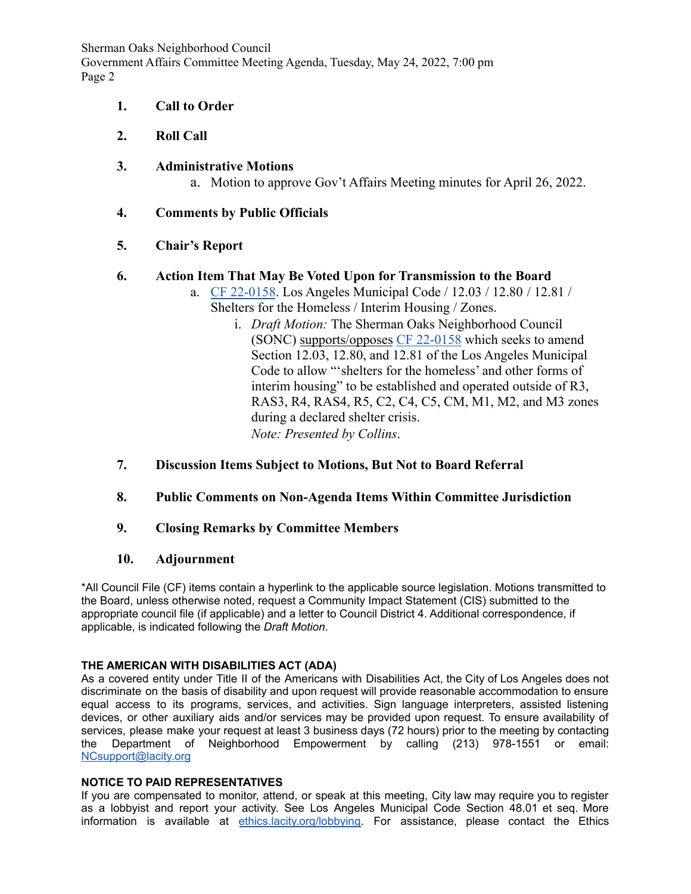Sherman Oaks Neighborhood Council Government Affairs Committee Meeting Agenda, Tuesday, May 24, 2022, 7:00 pm Page 2

- **1. Call to Order**
- **2. Roll Call**
- **3. Administrative Motions**

a. Motion to approve Gov't Affairs Meeting minutes for April 26, 2022.

**4. Comments by Public Officials**

# **5. Chair's Report**

# **6. Action Item That May Be Voted Upon for Transmission to the Board**

- a. [CF 22-0158](https://cityclerk.lacity.org/lacityclerkconnect/index.cfm?fa=ccfi.viewrecord&cfnumber=22-0158). Los Angeles Municipal Code / 12.03 / 12.80 / 12.81 / Shelters for the Homeless / Interim Housing / Zones.
	- i. *Draft Motion:* The Sherman Oaks Neighborhood Council (SONC) supports/opposes [CF 22-0158](https://cityclerk.lacity.org/lacityclerkconnect/index.cfm?fa=ccfi.viewrecord&cfnumber=22-0158) which seeks to amend Section 12.03, 12.80, and 12.81 of the Los Angeles Municipal Code to allow "'shelters for the homeless' and other forms of interim housing" to be established and operated outside of R3, RAS3, R4, RAS4, R5, C2, C4, C5, CM, M1, M2, and M3 zones during a declared shelter crisis. *Note: Presented by Collins*.
- **7. Discussion Items Subject to Motions, But Not to Board Referral**
- **8. Public Comments on Non-Agenda Items Within Committee Jurisdiction**
- **9. Closing Remarks by Committee Members**

### **10. Adjournment**

\*All Council File (CF) items contain a hyperlink to the applicable source legislation. Motions transmitted to the Board, unless otherwise noted, request a Community Impact Statement (CIS) submitted to the appropriate council file (if applicable) and a letter to Council District 4. Additional correspondence, if applicable, is indicated following the *Draft Motion*.

#### **THE AMERICAN WITH DISABILITIES ACT (ADA)**

As a covered entity under Title II of the Americans with Disabilities Act, the City of Los Angeles does not discriminate on the basis of disability and upon request will provide reasonable accommodation to ensure equal access to its programs, services, and activities. Sign language interpreters, assisted listening devices, or other auxiliary aids and/or services may be provided upon request. To ensure availability of services, please make your request at least 3 business days (72 hours) prior to the meeting by contacting the Department of Neighborhood Empowerment by calling (213) 978-1551 or email: [NCsupport@lacity.org](mailto:NCsupport@lacity.org)

#### **NOTICE TO PAID REPRESENTATIVES**

If you are compensated to monitor, attend, or speak at this meeting, City law may require you to register as a lobbyist and report your activity. See Los Angeles Municipal Code Section 48.01 et seq. More information is available at [ethics.lacity.org/lobbying.](https://ethics.lacity.org/lobbying/) For assistance, please contact the Ethics